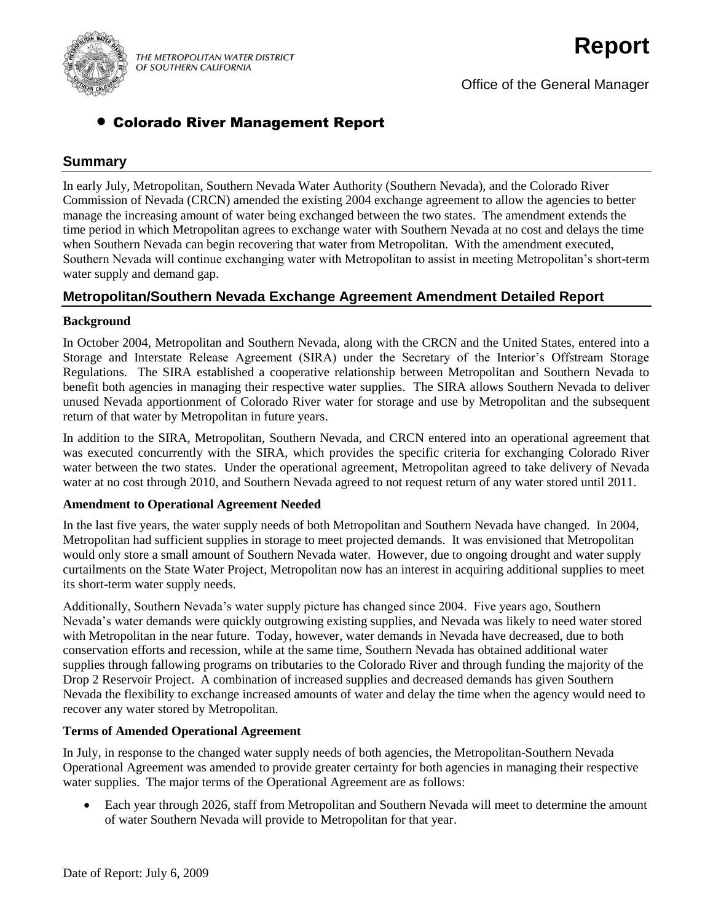

Office of the General Manager

# Colorado River Management Report

# **Summary**

In early July, Metropolitan, Southern Nevada Water Authority (Southern Nevada), and the Colorado River Commission of Nevada (CRCN) amended the existing 2004 exchange agreement to allow the agencies to better manage the increasing amount of water being exchanged between the two states. The amendment extends the time period in which Metropolitan agrees to exchange water with Southern Nevada at no cost and delays the time when Southern Nevada can begin recovering that water from Metropolitan. With the amendment executed, Southern Nevada will continue exchanging water with Metropolitan to assist in meeting Metropolitan's short-term water supply and demand gap.

# **Metropolitan/Southern Nevada Exchange Agreement Amendment Detailed Report**

## **Background**

In October 2004, Metropolitan and Southern Nevada, along with the CRCN and the United States, entered into a Storage and Interstate Release Agreement (SIRA) under the Secretary of the Interior's Offstream Storage Regulations. The SIRA established a cooperative relationship between Metropolitan and Southern Nevada to benefit both agencies in managing their respective water supplies. The SIRA allows Southern Nevada to deliver unused Nevada apportionment of Colorado River water for storage and use by Metropolitan and the subsequent return of that water by Metropolitan in future years.

In addition to the SIRA, Metropolitan, Southern Nevada, and CRCN entered into an operational agreement that was executed concurrently with the SIRA, which provides the specific criteria for exchanging Colorado River water between the two states. Under the operational agreement, Metropolitan agreed to take delivery of Nevada water at no cost through 2010, and Southern Nevada agreed to not request return of any water stored until 2011.

#### **Amendment to Operational Agreement Needed**

In the last five years, the water supply needs of both Metropolitan and Southern Nevada have changed. In 2004, Metropolitan had sufficient supplies in storage to meet projected demands. It was envisioned that Metropolitan would only store a small amount of Southern Nevada water. However, due to ongoing drought and water supply curtailments on the State Water Project, Metropolitan now has an interest in acquiring additional supplies to meet its short-term water supply needs.

Additionally, Southern Nevada's water supply picture has changed since 2004. Five years ago, Southern Nevada's water demands were quickly outgrowing existing supplies, and Nevada was likely to need water stored with Metropolitan in the near future. Today, however, water demands in Nevada have decreased, due to both conservation efforts and recession, while at the same time, Southern Nevada has obtained additional water supplies through fallowing programs on tributaries to the Colorado River and through funding the majority of the Drop 2 Reservoir Project. A combination of increased supplies and decreased demands has given Southern Nevada the flexibility to exchange increased amounts of water and delay the time when the agency would need to recover any water stored by Metropolitan.

## **Terms of Amended Operational Agreement**

In July, in response to the changed water supply needs of both agencies, the Metropolitan-Southern Nevada Operational Agreement was amended to provide greater certainty for both agencies in managing their respective water supplies. The major terms of the Operational Agreement are as follows:

 Each year through 2026, staff from Metropolitan and Southern Nevada will meet to determine the amount of water Southern Nevada will provide to Metropolitan for that year.